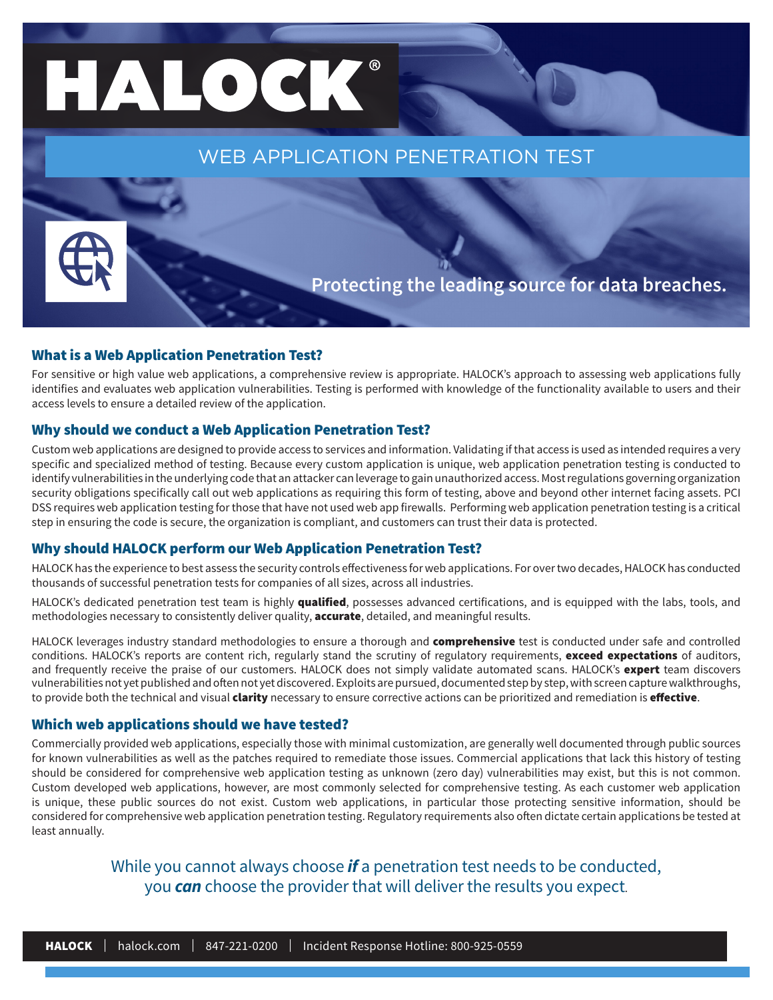# HALOCK®

WEB APPLICATION PENETRATION TEST

**Protecting the leading source for data breaches.**

#### What is a Web Application Penetration Test?

For sensitive or high value web applications, a comprehensive review is appropriate. HALOCK's approach to assessing web applications fully identifies and evaluates web application vulnerabilities. Testing is performed with knowledge of the functionality available to users and their access levels to ensure a detailed review of the application.

#### Why should we conduct a Web Application Penetration Test?

Custom web applications are designed to provide access to services and information. Validating if that access is used as intended requires a very specific and specialized method of testing. Because every custom application is unique, web application penetration testing is conducted to identify vulnerabilities in the underlying code that an attacker can leverage to gain unauthorized access. Most regulations governing organization security obligations specifically call out web applications as requiring this form of testing, above and beyond other internet facing assets. PCI DSS requires web application testing for those that have not used web app firewalls. Performing web application penetration testing is a critical step in ensuring the code is secure, the organization is compliant, and customers can trust their data is protected.

#### Why should HALOCK perform our Web Application Penetration Test?

HALOCK has the experience to best assess the security controls effectiveness for web applications. For over two decades, HALOCK has conducted thousands of successful penetration tests for companies of all sizes, across all industries.

HALOCK's dedicated penetration test team is highly qualified, possesses advanced certifications, and is equipped with the labs, tools, and methodologies necessary to consistently deliver quality, accurate, detailed, and meaningful results.

HALOCK leverages industry standard methodologies to ensure a thorough and **comprehensive** test is conducted under safe and controlled conditions. HALOCK's reports are content rich, regularly stand the scrutiny of regulatory requirements, exceed expectations of auditors, and frequently receive the praise of our customers. HALOCK does not simply validate automated scans. HALOCK's expert team discovers vulnerabilities not yet published and often not yet discovered. Exploits are pursued, documented step by step, with screen capture walkthroughs, to provide both the technical and visual clarity necessary to ensure corrective actions can be prioritized and remediation is effective.

#### Which web applications should we have tested?

Commercially provided web applications, especially those with minimal customization, are generally well documented through public sources for known vulnerabilities as well as the patches required to remediate those issues. Commercial applications that lack this history of testing should be considered for comprehensive web application testing as unknown (zero day) vulnerabilities may exist, but this is not common. Custom developed web applications, however, are most commonly selected for comprehensive testing. As each customer web application is unique, these public sources do not exist. Custom web applications, in particular those protecting sensitive information, should be considered for comprehensive web application penetration testing. Regulatory requirements also often dictate certain applications be tested at least annually.

#### While you cannot always choose *if* a penetration test needs to be conducted, you *can* choose the provider that will deliver the results you expect.